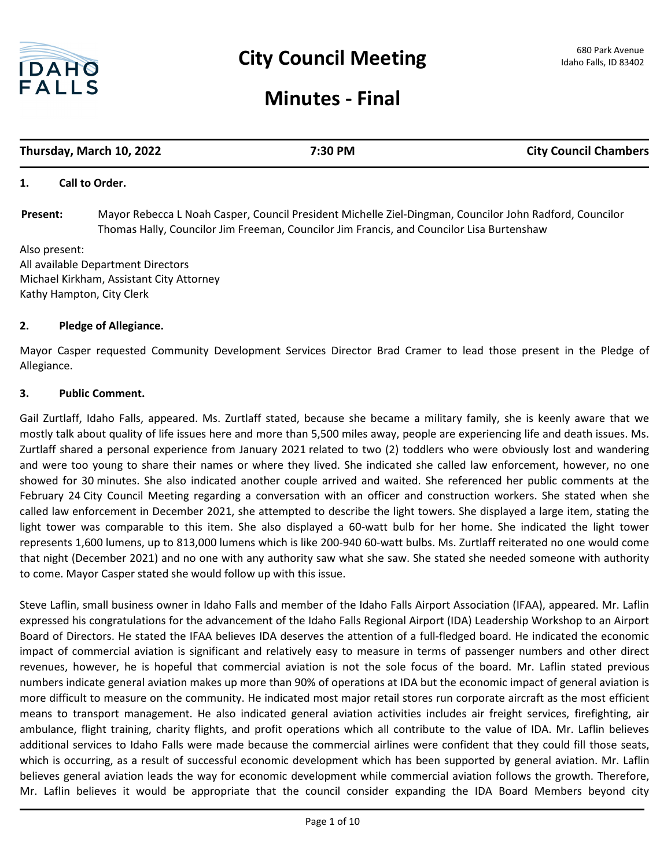

# **Minutes - Final**

# **Thursday, March 10, 2022 7:30 PM City Council Chambers**

# **1. Call to Order.**

Mayor Rebecca L Noah Casper, Council President Michelle Ziel-Dingman, Councilor John Radford, Councilor Thomas Hally, Councilor Jim Freeman, Councilor Jim Francis, and Councilor Lisa Burtenshaw **Present:**

Also present: All available Department Directors Michael Kirkham, Assistant City Attorney Kathy Hampton, City Clerk

#### **2. Pledge of Allegiance.**

Mayor Casper requested Community Development Services Director Brad Cramer to lead those present in the Pledge of Allegiance.

#### **3. Public Comment.**

Gail Zurtlaff, Idaho Falls, appeared. Ms. Zurtlaff stated, because she became a military family, she is keenly aware that we mostly talk about quality of life issues here and more than 5,500 miles away, people are experiencing life and death issues. Ms. Zurtlaff shared a personal experience from January 2021 related to two (2) toddlers who were obviously lost and wandering and were too young to share their names or where they lived. She indicated she called law enforcement, however, no one showed for 30 minutes. She also indicated another couple arrived and waited. She referenced her public comments at the February 24 City Council Meeting regarding a conversation with an officer and construction workers. She stated when she called law enforcement in December 2021, she attempted to describe the light towers. She displayed a large item, stating the light tower was comparable to this item. She also displayed a 60-watt bulb for her home. She indicated the light tower represents 1,600 lumens, up to 813,000 lumens which is like 200-940 60-watt bulbs. Ms. Zurtlaff reiterated no one would come that night (December 2021) and no one with any authority saw what she saw. She stated she needed someone with authority to come. Mayor Casper stated she would follow up with this issue.

Steve Laflin, small business owner in Idaho Falls and member of the Idaho Falls Airport Association (IFAA), appeared. Mr. Laflin expressed his congratulations for the advancement of the Idaho Falls Regional Airport (IDA) Leadership Workshop to an Airport Board of Directors. He stated the IFAA believes IDA deserves the attention of a full-fledged board. He indicated the economic impact of commercial aviation is significant and relatively easy to measure in terms of passenger numbers and other direct revenues, however, he is hopeful that commercial aviation is not the sole focus of the board. Mr. Laflin stated previous numbers indicate general aviation makes up more than 90% of operations at IDA but the economic impact of general aviation is more difficult to measure on the community. He indicated most major retail stores run corporate aircraft as the most efficient means to transport management. He also indicated general aviation activities includes air freight services, firefighting, air ambulance, flight training, charity flights, and profit operations which all contribute to the value of IDA. Mr. Laflin believes additional services to Idaho Falls were made because the commercial airlines were confident that they could fill those seats, which is occurring, as a result of successful economic development which has been supported by general aviation. Mr. Laflin believes general aviation leads the way for economic development while commercial aviation follows the growth. Therefore, Mr. Laflin believes it would be appropriate that the council consider expanding the IDA Board Members beyond city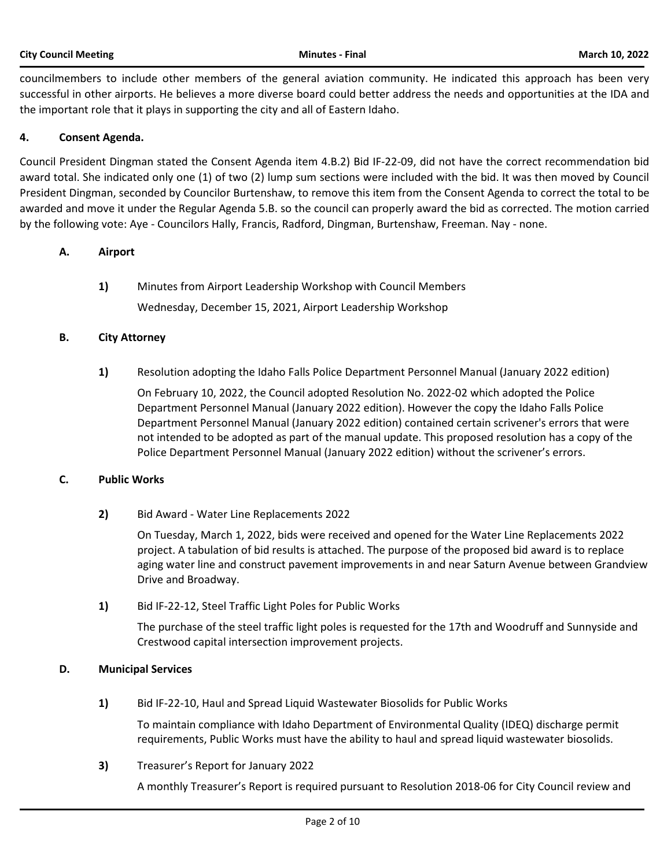councilmembers to include other members of the general aviation community. He indicated this approach has been very successful in other airports. He believes a more diverse board could better address the needs and opportunities at the IDA and the important role that it plays in supporting the city and all of Eastern Idaho.

# **4. Consent Agenda.**

Council President Dingman stated the Consent Agenda item 4.B.2) Bid IF-22-09, did not have the correct recommendation bid award total. She indicated only one (1) of two (2) lump sum sections were included with the bid. It was then moved by Council President Dingman, seconded by Councilor Burtenshaw, to remove this item from the Consent Agenda to correct the total to be awarded and move it under the Regular Agenda 5.B. so the council can properly award the bid as corrected. The motion carried by the following vote: Aye - Councilors Hally, Francis, Radford, Dingman, Burtenshaw, Freeman. Nay - none.

# **A. Airport**

**1)** Minutes from Airport Leadership Workshop with Council Members

Wednesday, December 15, 2021, Airport Leadership Workshop

# **B. City Attorney**

**1)** Resolution adopting the Idaho Falls Police Department Personnel Manual (January 2022 edition)

On February 10, 2022, the Council adopted Resolution No. 2022-02 which adopted the Police Department Personnel Manual (January 2022 edition). However the copy the Idaho Falls Police Department Personnel Manual (January 2022 edition) contained certain scrivener's errors that were not intended to be adopted as part of the manual update. This proposed resolution has a copy of the Police Department Personnel Manual (January 2022 edition) without the scrivener's errors.

# **C. Public Works**

**2)** Bid Award - Water Line Replacements 2022

On Tuesday, March 1, 2022, bids were received and opened for the Water Line Replacements 2022 project. A tabulation of bid results is attached. The purpose of the proposed bid award is to replace aging water line and construct pavement improvements in and near Saturn Avenue between Grandview Drive and Broadway.

**1)** Bid IF-22-12, Steel Traffic Light Poles for Public Works

The purchase of the steel traffic light poles is requested for the 17th and Woodruff and Sunnyside and Crestwood capital intersection improvement projects.

# **D. Municipal Services**

**1)** Bid IF-22-10, Haul and Spread Liquid Wastewater Biosolids for Public Works

To maintain compliance with Idaho Department of Environmental Quality (IDEQ) discharge permit requirements, Public Works must have the ability to haul and spread liquid wastewater biosolids.

**3)** Treasurer's Report for January 2022

A monthly Treasurer's Report is required pursuant to Resolution 2018-06 for City Council review and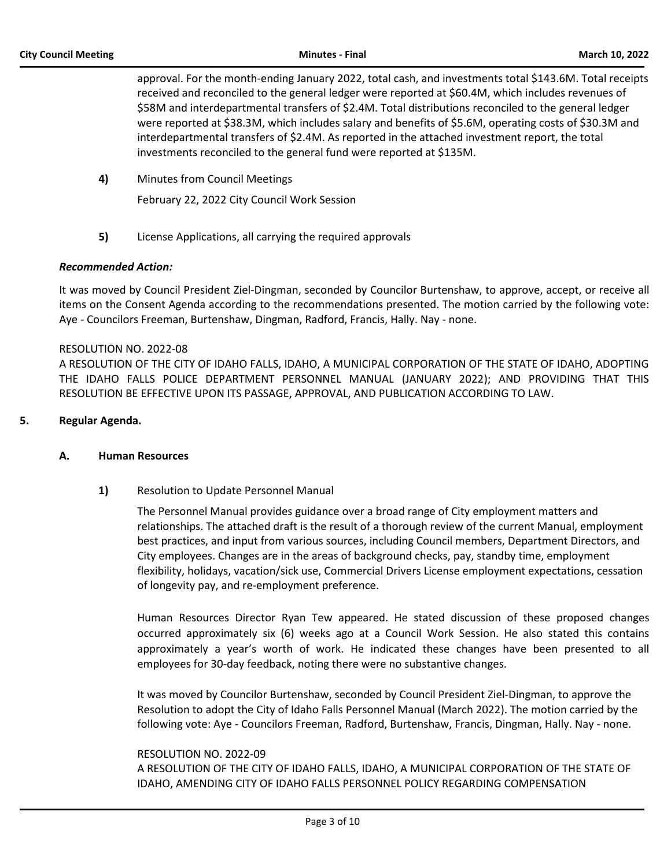approval. For the month-ending January 2022, total cash, and investments total \$143.6M. Total receipts received and reconciled to the general ledger were reported at \$60.4M, which includes revenues of \$58M and interdepartmental transfers of \$2.4M. Total distributions reconciled to the general ledger were reported at \$38.3M, which includes salary and benefits of \$5.6M, operating costs of \$30.3M and interdepartmental transfers of \$2.4M. As reported in the attached investment report, the total investments reconciled to the general fund were reported at \$135M.

**4)** Minutes from Council Meetings

February 22, 2022 City Council Work Session

**5)** License Applications, all carrying the required approvals

#### *Recommended Action:*

It was moved by Council President Ziel-Dingman, seconded by Councilor Burtenshaw, to approve, accept, or receive all items on the Consent Agenda according to the recommendations presented. The motion carried by the following vote: Aye - Councilors Freeman, Burtenshaw, Dingman, Radford, Francis, Hally. Nay - none.

#### RESOLUTION NO. 2022-08

A RESOLUTION OF THE CITY OF IDAHO FALLS, IDAHO, A MUNICIPAL CORPORATION OF THE STATE OF IDAHO, ADOPTING THE IDAHO FALLS POLICE DEPARTMENT PERSONNEL MANUAL (JANUARY 2022); AND PROVIDING THAT THIS RESOLUTION BE EFFECTIVE UPON ITS PASSAGE, APPROVAL, AND PUBLICATION ACCORDING TO LAW.

# **5. Regular Agenda.**

#### **A. Human Resources**

# **1)** Resolution to Update Personnel Manual

The Personnel Manual provides guidance over a broad range of City employment matters and relationships. The attached draft is the result of a thorough review of the current Manual, employment best practices, and input from various sources, including Council members, Department Directors, and City employees. Changes are in the areas of background checks, pay, standby time, employment flexibility, holidays, vacation/sick use, Commercial Drivers License employment expectations, cessation of longevity pay, and re-employment preference.

Human Resources Director Ryan Tew appeared. He stated discussion of these proposed changes occurred approximately six (6) weeks ago at a Council Work Session. He also stated this contains approximately a year's worth of work. He indicated these changes have been presented to all employees for 30-day feedback, noting there were no substantive changes.

It was moved by Councilor Burtenshaw, seconded by Council President Ziel-Dingman, to approve the Resolution to adopt the City of Idaho Falls Personnel Manual (March 2022). The motion carried by the following vote: Aye - Councilors Freeman, Radford, Burtenshaw, Francis, Dingman, Hally. Nay - none.

#### RESOLUTION NO. 2022-09

A RESOLUTION OF THE CITY OF IDAHO FALLS, IDAHO, A MUNICIPAL CORPORATION OF THE STATE OF IDAHO, AMENDING CITY OF IDAHO FALLS PERSONNEL POLICY REGARDING COMPENSATION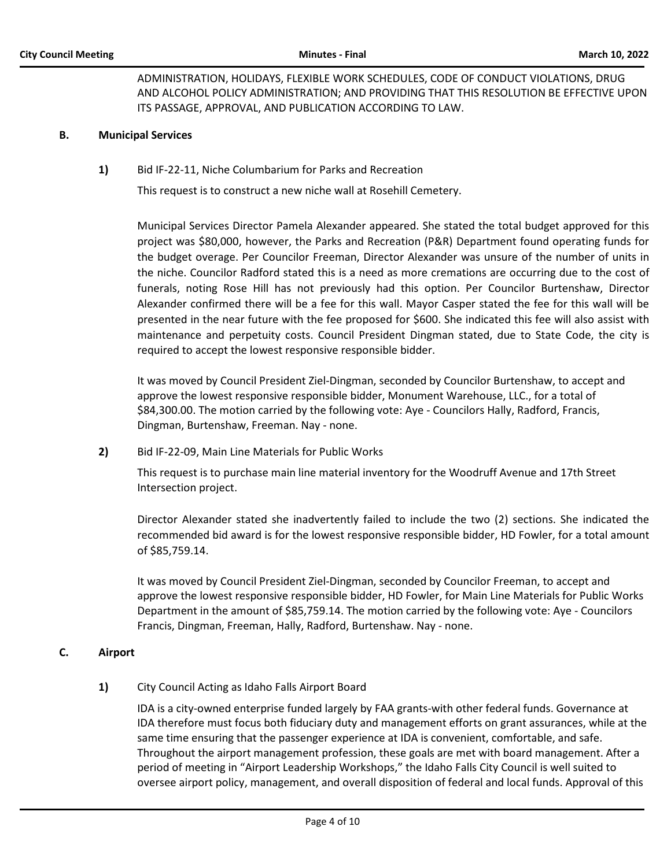# ADMINISTRATION, HOLIDAYS, FLEXIBLE WORK SCHEDULES, CODE OF CONDUCT VIOLATIONS, DRUG AND ALCOHOL POLICY ADMINISTRATION; AND PROVIDING THAT THIS RESOLUTION BE EFFECTIVE UPON ITS PASSAGE, APPROVAL, AND PUBLICATION ACCORDING TO LAW.

#### **B. Municipal Services**

**1)** Bid IF-22-11, Niche Columbarium for Parks and Recreation

This request is to construct a new niche wall at Rosehill Cemetery.

Municipal Services Director Pamela Alexander appeared. She stated the total budget approved for this project was \$80,000, however, the Parks and Recreation (P&R) Department found operating funds for the budget overage. Per Councilor Freeman, Director Alexander was unsure of the number of units in the niche. Councilor Radford stated this is a need as more cremations are occurring due to the cost of funerals, noting Rose Hill has not previously had this option. Per Councilor Burtenshaw, Director Alexander confirmed there will be a fee for this wall. Mayor Casper stated the fee for this wall will be presented in the near future with the fee proposed for \$600. She indicated this fee will also assist with maintenance and perpetuity costs. Council President Dingman stated, due to State Code, the city is required to accept the lowest responsive responsible bidder.

It was moved by Council President Ziel-Dingman, seconded by Councilor Burtenshaw, to accept and approve the lowest responsive responsible bidder, Monument Warehouse, LLC., for a total of \$84,300.00. The motion carried by the following vote: Aye - Councilors Hally, Radford, Francis, Dingman, Burtenshaw, Freeman. Nay - none.

**2)** Bid IF-22-09, Main Line Materials for Public Works

This request is to purchase main line material inventory for the Woodruff Avenue and 17th Street Intersection project.

Director Alexander stated she inadvertently failed to include the two (2) sections. She indicated the recommended bid award is for the lowest responsive responsible bidder, HD Fowler, for a total amount of \$85,759.14.

It was moved by Council President Ziel-Dingman, seconded by Councilor Freeman, to accept and approve the lowest responsive responsible bidder, HD Fowler, for Main Line Materials for Public Works Department in the amount of \$85,759.14. The motion carried by the following vote: Aye - Councilors Francis, Dingman, Freeman, Hally, Radford, Burtenshaw. Nay - none.

#### **C. Airport**

# **1)** City Council Acting as Idaho Falls Airport Board

IDA is a city-owned enterprise funded largely by FAA grants-with other federal funds. Governance at IDA therefore must focus both fiduciary duty and management efforts on grant assurances, while at the same time ensuring that the passenger experience at IDA is convenient, comfortable, and safe. Throughout the airport management profession, these goals are met with board management. After a period of meeting in "Airport Leadership Workshops," the Idaho Falls City Council is well suited to oversee airport policy, management, and overall disposition of federal and local funds. Approval of this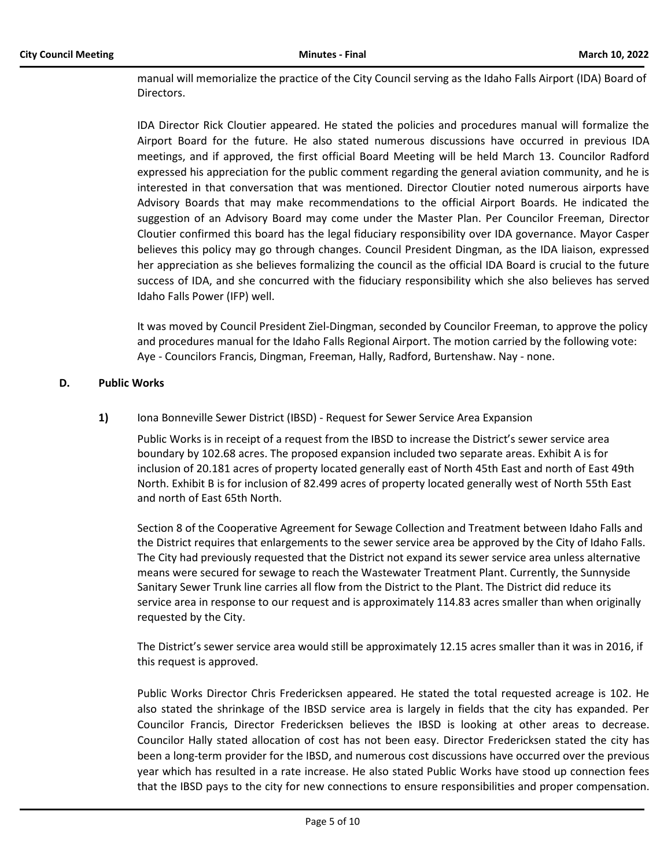manual will memorialize the practice of the City Council serving as the Idaho Falls Airport (IDA) Board of Directors.

IDA Director Rick Cloutier appeared. He stated the policies and procedures manual will formalize the Airport Board for the future. He also stated numerous discussions have occurred in previous IDA meetings, and if approved, the first official Board Meeting will be held March 13. Councilor Radford expressed his appreciation for the public comment regarding the general aviation community, and he is interested in that conversation that was mentioned. Director Cloutier noted numerous airports have Advisory Boards that may make recommendations to the official Airport Boards. He indicated the suggestion of an Advisory Board may come under the Master Plan. Per Councilor Freeman, Director Cloutier confirmed this board has the legal fiduciary responsibility over IDA governance. Mayor Casper believes this policy may go through changes. Council President Dingman, as the IDA liaison, expressed her appreciation as she believes formalizing the council as the official IDA Board is crucial to the future success of IDA, and she concurred with the fiduciary responsibility which she also believes has served Idaho Falls Power (IFP) well.

It was moved by Council President Ziel-Dingman, seconded by Councilor Freeman, to approve the policy and procedures manual for the Idaho Falls Regional Airport. The motion carried by the following vote: Aye - Councilors Francis, Dingman, Freeman, Hally, Radford, Burtenshaw. Nay - none.

#### **D. Public Works**

**1)** Iona Bonneville Sewer District (IBSD) - Request for Sewer Service Area Expansion

Public Works is in receipt of a request from the IBSD to increase the District's sewer service area boundary by 102.68 acres. The proposed expansion included two separate areas. Exhibit A is for inclusion of 20.181 acres of property located generally east of North 45th East and north of East 49th North. Exhibit B is for inclusion of 82.499 acres of property located generally west of North 55th East and north of East 65th North.

Section 8 of the Cooperative Agreement for Sewage Collection and Treatment between Idaho Falls and the District requires that enlargements to the sewer service area be approved by the City of Idaho Falls. The City had previously requested that the District not expand its sewer service area unless alternative means were secured for sewage to reach the Wastewater Treatment Plant. Currently, the Sunnyside Sanitary Sewer Trunk line carries all flow from the District to the Plant. The District did reduce its service area in response to our request and is approximately 114.83 acres smaller than when originally requested by the City.

The District's sewer service area would still be approximately 12.15 acres smaller than it was in 2016, if this request is approved.

Public Works Director Chris Fredericksen appeared. He stated the total requested acreage is 102. He also stated the shrinkage of the IBSD service area is largely in fields that the city has expanded. Per Councilor Francis, Director Fredericksen believes the IBSD is looking at other areas to decrease. Councilor Hally stated allocation of cost has not been easy. Director Fredericksen stated the city has been a long-term provider for the IBSD, and numerous cost discussions have occurred over the previous year which has resulted in a rate increase. He also stated Public Works have stood up connection fees that the IBSD pays to the city for new connections to ensure responsibilities and proper compensation.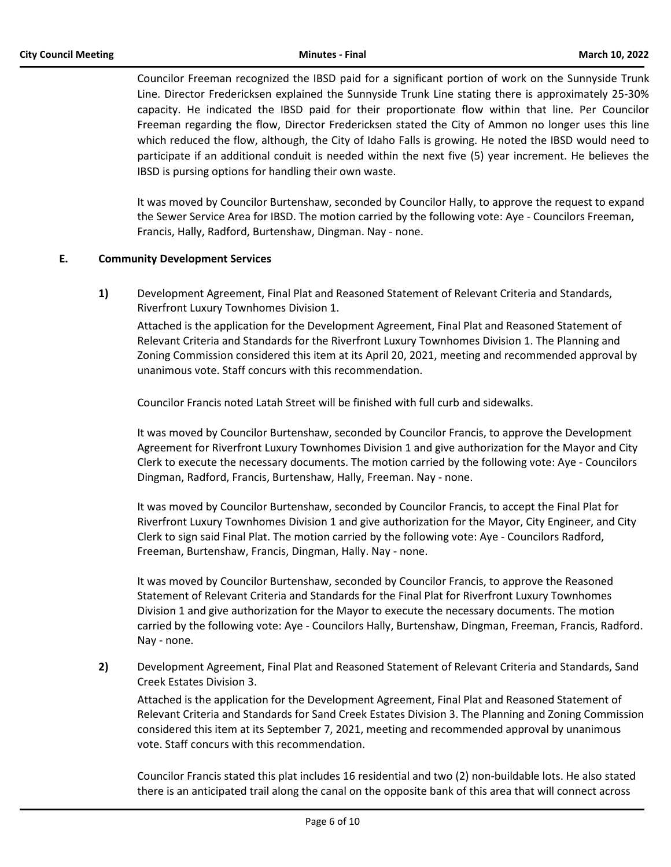Councilor Freeman recognized the IBSD paid for a significant portion of work on the Sunnyside Trunk Line. Director Fredericksen explained the Sunnyside Trunk Line stating there is approximately 25-30% capacity. He indicated the IBSD paid for their proportionate flow within that line. Per Councilor Freeman regarding the flow, Director Fredericksen stated the City of Ammon no longer uses this line which reduced the flow, although, the City of Idaho Falls is growing. He noted the IBSD would need to participate if an additional conduit is needed within the next five (5) year increment. He believes the IBSD is pursing options for handling their own waste.

It was moved by Councilor Burtenshaw, seconded by Councilor Hally, to approve the request to expand the Sewer Service Area for IBSD. The motion carried by the following vote: Aye - Councilors Freeman, Francis, Hally, Radford, Burtenshaw, Dingman. Nay - none.

# **E. Community Development Services**

**1)** Development Agreement, Final Plat and Reasoned Statement of Relevant Criteria and Standards, Riverfront Luxury Townhomes Division 1.

Attached is the application for the Development Agreement, Final Plat and Reasoned Statement of Relevant Criteria and Standards for the Riverfront Luxury Townhomes Division 1. The Planning and Zoning Commission considered this item at its April 20, 2021, meeting and recommended approval by unanimous vote. Staff concurs with this recommendation.

Councilor Francis noted Latah Street will be finished with full curb and sidewalks.

It was moved by Councilor Burtenshaw, seconded by Councilor Francis, to approve the Development Agreement for Riverfront Luxury Townhomes Division 1 and give authorization for the Mayor and City Clerk to execute the necessary documents. The motion carried by the following vote: Aye - Councilors Dingman, Radford, Francis, Burtenshaw, Hally, Freeman. Nay - none.

It was moved by Councilor Burtenshaw, seconded by Councilor Francis, to accept the Final Plat for Riverfront Luxury Townhomes Division 1 and give authorization for the Mayor, City Engineer, and City Clerk to sign said Final Plat. The motion carried by the following vote: Aye - Councilors Radford, Freeman, Burtenshaw, Francis, Dingman, Hally. Nay - none.

It was moved by Councilor Burtenshaw, seconded by Councilor Francis, to approve the Reasoned Statement of Relevant Criteria and Standards for the Final Plat for Riverfront Luxury Townhomes Division 1 and give authorization for the Mayor to execute the necessary documents. The motion carried by the following vote: Aye - Councilors Hally, Burtenshaw, Dingman, Freeman, Francis, Radford. Nay - none.

**2)** Development Agreement, Final Plat and Reasoned Statement of Relevant Criteria and Standards, Sand Creek Estates Division 3.

Attached is the application for the Development Agreement, Final Plat and Reasoned Statement of Relevant Criteria and Standards for Sand Creek Estates Division 3. The Planning and Zoning Commission considered this item at its September 7, 2021, meeting and recommended approval by unanimous vote. Staff concurs with this recommendation.

Councilor Francis stated this plat includes 16 residential and two (2) non-buildable lots. He also stated there is an anticipated trail along the canal on the opposite bank of this area that will connect across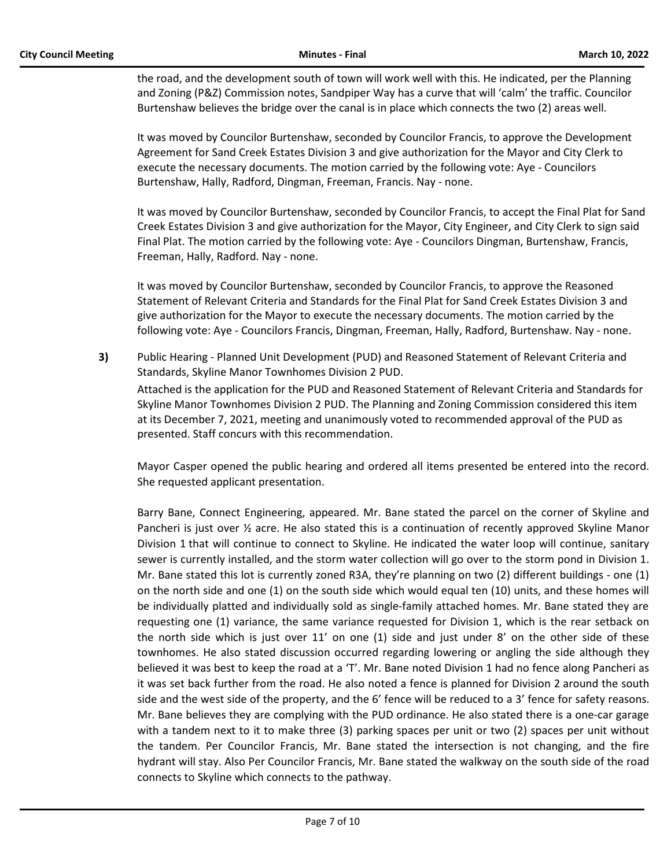the road, and the development south of town will work well with this. He indicated, per the Planning and Zoning (P&Z) Commission notes, Sandpiper Way has a curve that will 'calm' the traffic. Councilor Burtenshaw believes the bridge over the canal is in place which connects the two (2) areas well.

It was moved by Councilor Burtenshaw, seconded by Councilor Francis, to approve the Development Agreement for Sand Creek Estates Division 3 and give authorization for the Mayor and City Clerk to execute the necessary documents. The motion carried by the following vote: Aye - Councilors Burtenshaw, Hally, Radford, Dingman, Freeman, Francis. Nay - none.

It was moved by Councilor Burtenshaw, seconded by Councilor Francis, to accept the Final Plat for Sand Creek Estates Division 3 and give authorization for the Mayor, City Engineer, and City Clerk to sign said Final Plat. The motion carried by the following vote: Aye - Councilors Dingman, Burtenshaw, Francis, Freeman, Hally, Radford. Nay - none.

It was moved by Councilor Burtenshaw, seconded by Councilor Francis, to approve the Reasoned Statement of Relevant Criteria and Standards for the Final Plat for Sand Creek Estates Division 3 and give authorization for the Mayor to execute the necessary documents. The motion carried by the following vote: Aye - Councilors Francis, Dingman, Freeman, Hally, Radford, Burtenshaw. Nay - none.

**3)** Public Hearing - Planned Unit Development (PUD) and Reasoned Statement of Relevant Criteria and Standards, Skyline Manor Townhomes Division 2 PUD. Attached is the application for the PUD and Reasoned Statement of Relevant Criteria and Standards for Skyline Manor Townhomes Division 2 PUD. The Planning and Zoning Commission considered this item at its December 7, 2021, meeting and unanimously voted to recommended approval of the PUD as presented. Staff concurs with this recommendation.

Mayor Casper opened the public hearing and ordered all items presented be entered into the record. She requested applicant presentation.

Barry Bane, Connect Engineering, appeared. Mr. Bane stated the parcel on the corner of Skyline and Pancheri is just over ½ acre. He also stated this is a continuation of recently approved Skyline Manor Division 1 that will continue to connect to Skyline. He indicated the water loop will continue, sanitary sewer is currently installed, and the storm water collection will go over to the storm pond in Division 1. Mr. Bane stated this lot is currently zoned R3A, they're planning on two (2) different buildings - one (1) on the north side and one (1) on the south side which would equal ten (10) units, and these homes will be individually platted and individually sold as single-family attached homes. Mr. Bane stated they are requesting one (1) variance, the same variance requested for Division 1, which is the rear setback on the north side which is just over 11' on one (1) side and just under 8' on the other side of these townhomes. He also stated discussion occurred regarding lowering or angling the side although they believed it was best to keep the road at a 'T'. Mr. Bane noted Division 1 had no fence along Pancheri as it was set back further from the road. He also noted a fence is planned for Division 2 around the south side and the west side of the property, and the 6' fence will be reduced to a 3' fence for safety reasons. Mr. Bane believes they are complying with the PUD ordinance. He also stated there is a one-car garage with a tandem next to it to make three (3) parking spaces per unit or two (2) spaces per unit without the tandem. Per Councilor Francis, Mr. Bane stated the intersection is not changing, and the fire hydrant will stay. Also Per Councilor Francis, Mr. Bane stated the walkway on the south side of the road connects to Skyline which connects to the pathway.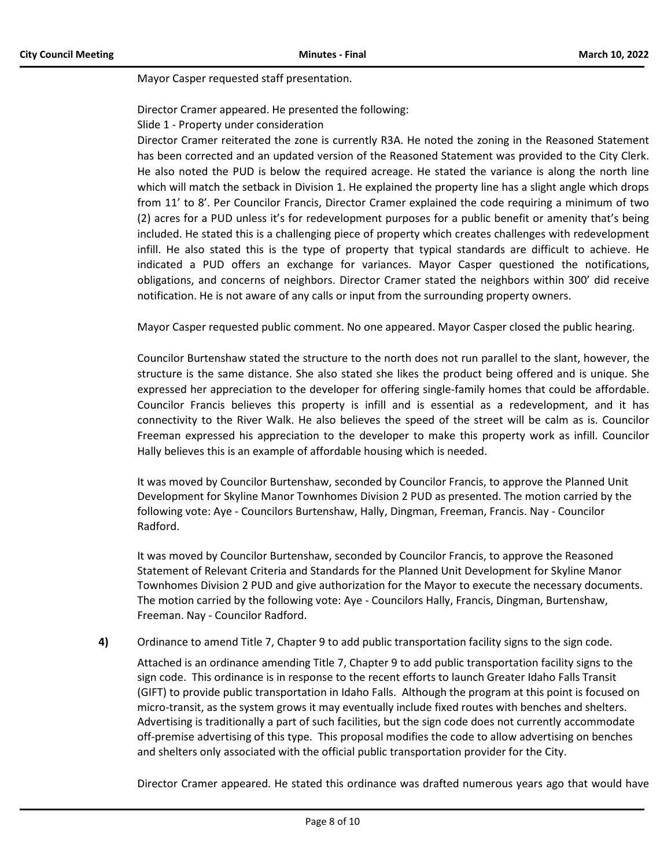Mayor Casper requested staff presentation.

Director Cramer appeared. He presented the following:

Slide 1 - Property under consideration

Director Cramer reiterated the zone is currently R3A. He noted the zoning in the Reasoned Statement has been corrected and an updated version of the Reasoned Statement was provided to the City Clerk. He also noted the PUD is below the required acreage. He stated the variance is along the north line which will match the setback in Division 1. He explained the property line has a slight angle which drops from 11' to 8'. Per Councilor Francis, Director Cramer explained the code requiring a minimum of two (2) acres for a PUD unless it's for redevelopment purposes for a public benefit or amenity that's being included. He stated this is a challenging piece of property which creates challenges with redevelopment infill. He also stated this is the type of property that typical standards are difficult to achieve. He indicated a PUD offers an exchange for variances. Mayor Casper questioned the notifications, obligations, and concerns of neighbors. Director Cramer stated the neighbors within 300' did receive notification. He is not aware of any calls or input from the surrounding property owners.

Mayor Casper requested public comment. No one appeared. Mayor Casper closed the public hearing.

Councilor Burtenshaw stated the structure to the north does not run parallel to the slant, however, the structure is the same distance. She also stated she likes the product being offered and is unique. She expressed her appreciation to the developer for offering single-family homes that could be affordable. Councilor Francis believes this property is infill and is essential as a redevelopment, and it has connectivity to the River Walk. He also believes the speed of the street will be calm as is. Councilor Freeman expressed his appreciation to the developer to make this property work as infill. Councilor Hally believes this is an example of affordable housing which is needed.

It was moved by Councilor Burtenshaw, seconded by Councilor Francis, to approve the Planned Unit Development for Skyline Manor Townhomes Division 2 PUD as presented. The motion carried by the following vote: Aye - Councilors Burtenshaw, Hally, Dingman, Freeman, Francis. Nay - Councilor Radford.

It was moved by Councilor Burtenshaw, seconded by Councilor Francis, to approve the Reasoned Statement of Relevant Criteria and Standards for the Planned Unit Development for Skyline Manor Townhomes Division 2 PUD and give authorization for the Mayor to execute the necessary documents. The motion carried by the following vote: Aye - Councilors Hally, Francis, Dingman, Burtenshaw, Freeman. Nay - Councilor Radford.

**4)** Ordinance to amend Title 7, Chapter 9 to add public transportation facility signs to the sign code.

Attached is an ordinance amending Title 7, Chapter 9 to add public transportation facility signs to the sign code. This ordinance is in response to the recent efforts to launch Greater Idaho Falls Transit (GIFT) to provide public transportation in Idaho Falls. Although the program at this point is focused on micro-transit, as the system grows it may eventually include fixed routes with benches and shelters. Advertising is traditionally a part of such facilities, but the sign code does not currently accommodate off-premise advertising of this type. This proposal modifies the code to allow advertising on benches and shelters only associated with the official public transportation provider for the City.

Director Cramer appeared. He stated this ordinance was drafted numerous years ago that would have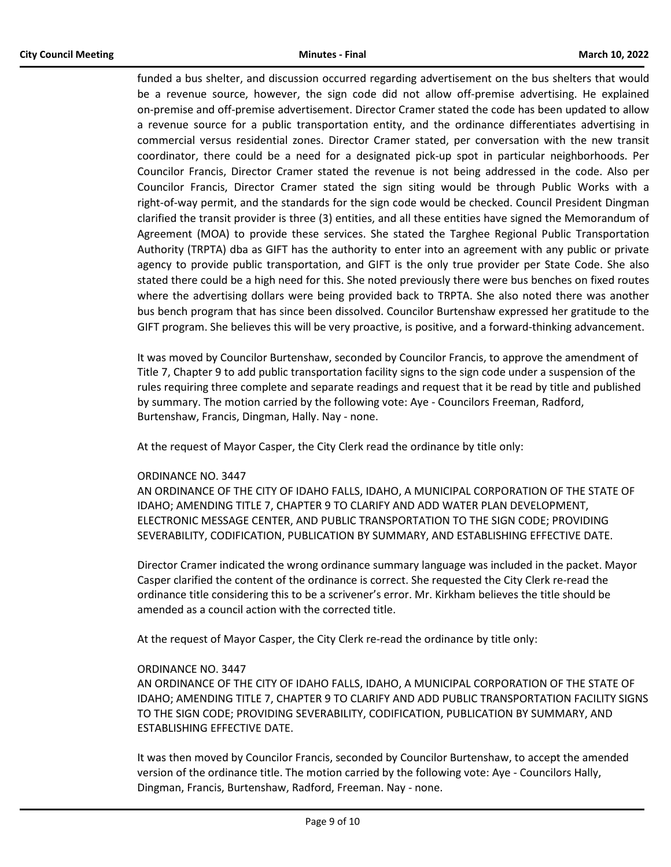funded a bus shelter, and discussion occurred regarding advertisement on the bus shelters that would be a revenue source, however, the sign code did not allow off-premise advertising. He explained on-premise and off-premise advertisement. Director Cramer stated the code has been updated to allow a revenue source for a public transportation entity, and the ordinance differentiates advertising in commercial versus residential zones. Director Cramer stated, per conversation with the new transit coordinator, there could be a need for a designated pick-up spot in particular neighborhoods. Per Councilor Francis, Director Cramer stated the revenue is not being addressed in the code. Also per Councilor Francis, Director Cramer stated the sign siting would be through Public Works with a right-of-way permit, and the standards for the sign code would be checked. Council President Dingman clarified the transit provider is three (3) entities, and all these entities have signed the Memorandum of Agreement (MOA) to provide these services. She stated the Targhee Regional Public Transportation Authority (TRPTA) dba as GIFT has the authority to enter into an agreement with any public or private agency to provide public transportation, and GIFT is the only true provider per State Code. She also stated there could be a high need for this. She noted previously there were bus benches on fixed routes where the advertising dollars were being provided back to TRPTA. She also noted there was another bus bench program that has since been dissolved. Councilor Burtenshaw expressed her gratitude to the GIFT program. She believes this will be very proactive, is positive, and a forward-thinking advancement.

It was moved by Councilor Burtenshaw, seconded by Councilor Francis, to approve the amendment of Title 7, Chapter 9 to add public transportation facility signs to the sign code under a suspension of the rules requiring three complete and separate readings and request that it be read by title and published by summary. The motion carried by the following vote: Aye - Councilors Freeman, Radford, Burtenshaw, Francis, Dingman, Hally. Nay - none.

At the request of Mayor Casper, the City Clerk read the ordinance by title only:

#### ORDINANCE NO. 3447

AN ORDINANCE OF THE CITY OF IDAHO FALLS, IDAHO, A MUNICIPAL CORPORATION OF THE STATE OF IDAHO; AMENDING TITLE 7, CHAPTER 9 TO CLARIFY AND ADD WATER PLAN DEVELOPMENT, ELECTRONIC MESSAGE CENTER, AND PUBLIC TRANSPORTATION TO THE SIGN CODE; PROVIDING SEVERABILITY, CODIFICATION, PUBLICATION BY SUMMARY, AND ESTABLISHING EFFECTIVE DATE.

Director Cramer indicated the wrong ordinance summary language was included in the packet. Mayor Casper clarified the content of the ordinance is correct. She requested the City Clerk re-read the ordinance title considering this to be a scrivener's error. Mr. Kirkham believes the title should be amended as a council action with the corrected title.

At the request of Mayor Casper, the City Clerk re-read the ordinance by title only:

#### ORDINANCE NO. 3447

AN ORDINANCE OF THE CITY OF IDAHO FALLS, IDAHO, A MUNICIPAL CORPORATION OF THE STATE OF IDAHO; AMENDING TITLE 7, CHAPTER 9 TO CLARIFY AND ADD PUBLIC TRANSPORTATION FACILITY SIGNS TO THE SIGN CODE; PROVIDING SEVERABILITY, CODIFICATION, PUBLICATION BY SUMMARY, AND ESTABLISHING EFFECTIVE DATE.

It was then moved by Councilor Francis, seconded by Councilor Burtenshaw, to accept the amended version of the ordinance title. The motion carried by the following vote: Aye - Councilors Hally, Dingman, Francis, Burtenshaw, Radford, Freeman. Nay - none.